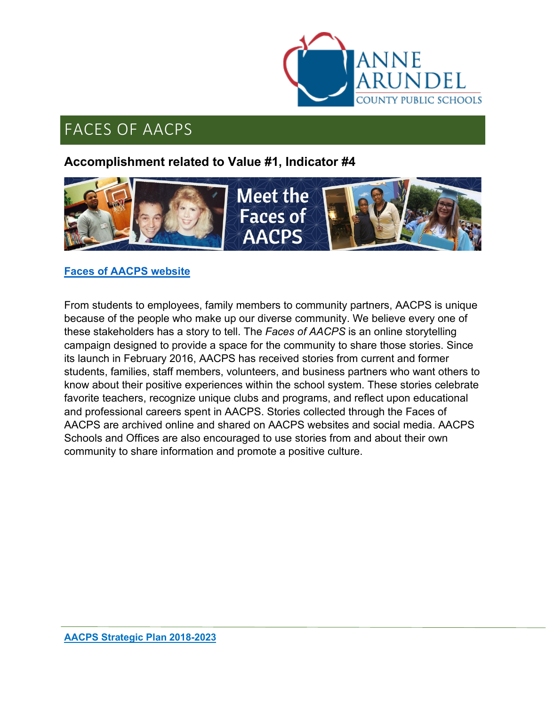

# FACES OF AACPS

### **Accomplishment related to Value #1, Indicator #4**



#### **[Faces of AACPS website](http://www.aacps.org/faces)**

From students to employees, family members to community partners, AACPS is unique because of the people who make up our diverse community. We believe every one of these stakeholders has a story to tell. The *Faces of AACPS* is an online storytelling campaign designed to provide a space for the community to share those stories. Since its launch in February 2016, AACPS has received stories from current and former students, families, staff members, volunteers, and business partners who want others to know about their positive experiences within the school system. These stories celebrate favorite teachers, recognize unique clubs and programs, and reflect upon educational and professional careers spent in AACPS. Stories collected through the Faces of AACPS are archived online and shared on AACPS websites and social media. AACPS Schools and Offices are also encouraged to use stories from and about their own community to share information and promote a positive culture.